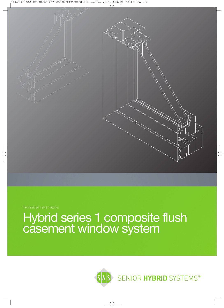

# Hybrid series 1 composite flush casement window system